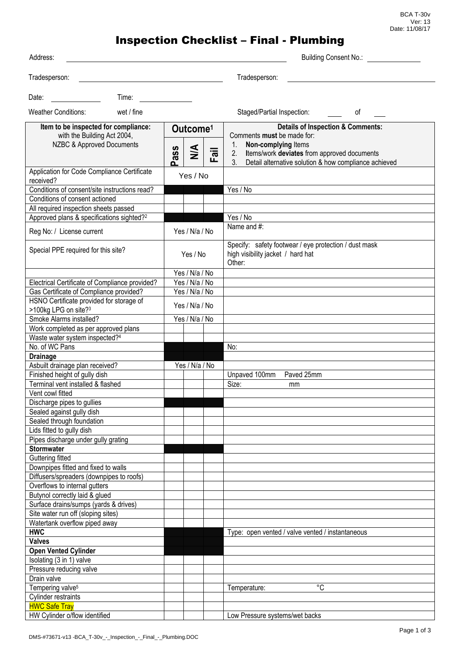BCA T-30v Ver: 13 Date: 11/08/17

## Inspection Checklist – Final - Plumbing

| Address:                                                                                         |                               |                                                     |                | <b>Building Consent No.:</b> |                                                                                                                                                                       |    |
|--------------------------------------------------------------------------------------------------|-------------------------------|-----------------------------------------------------|----------------|------------------------------|-----------------------------------------------------------------------------------------------------------------------------------------------------------------------|----|
| Tradesperson:                                                                                    |                               |                                                     |                |                              | Tradesperson:                                                                                                                                                         |    |
| Date:                                                                                            | Time:                         |                                                     |                |                              |                                                                                                                                                                       |    |
| <b>Weather Conditions:</b>                                                                       | wet / fine                    |                                                     |                |                              | Staged/Partial Inspection:                                                                                                                                            | of |
| Item to be inspected for compliance:<br>with the Building Act 2004,<br>NZBC & Approved Documents |                               | Outcome <sup>1</sup><br>$\frac{4}{2}$<br><b>ass</b> |                | Fail                         | <b>Details of Inspection &amp; Comments:</b><br>Comments must be made for:<br>Non-complying Items<br>$1_{\cdot}$<br>Items/work deviates from approved documents<br>2. |    |
|                                                                                                  |                               | n.                                                  |                |                              | Detail alternative solution & how compliance achieved<br>3 <sub>l</sub>                                                                                               |    |
| Application for Code Compliance Certificate<br>received?                                         |                               | Yes / No                                            |                |                              |                                                                                                                                                                       |    |
| Conditions of consent/site instructions read?                                                    |                               |                                                     |                |                              | Yes / No                                                                                                                                                              |    |
| Conditions of consent actioned                                                                   |                               |                                                     |                |                              |                                                                                                                                                                       |    |
| All required inspection sheets passed                                                            |                               |                                                     |                |                              |                                                                                                                                                                       |    |
| Approved plans & specifications sighted? <sup>2</sup>                                            |                               |                                                     |                |                              | Yes / No                                                                                                                                                              |    |
| Reg No: / License current                                                                        |                               | Yes / N/a / No                                      |                |                              | Name and #:                                                                                                                                                           |    |
| Special PPE required for this site?                                                              |                               | Yes / No                                            |                |                              | Specify: safety footwear / eye protection / dust mask<br>high visibility jacket / hard hat<br>Other:                                                                  |    |
|                                                                                                  |                               | Yes / N/a / No                                      |                |                              |                                                                                                                                                                       |    |
| Electrical Certificate of Compliance provided?                                                   |                               | Yes / N/a / No                                      |                |                              |                                                                                                                                                                       |    |
| Gas Certificate of Compliance provided?                                                          |                               | Yes / N/a / No                                      |                |                              |                                                                                                                                                                       |    |
| HSNO Certificate provided for storage of<br>>100kg LPG on site? <sup>3</sup>                     |                               | Yes / N/a / No                                      |                |                              |                                                                                                                                                                       |    |
| Smoke Alarms installed?                                                                          |                               | Yes / N/a / No                                      |                |                              |                                                                                                                                                                       |    |
| Work completed as per approved plans                                                             |                               |                                                     |                |                              |                                                                                                                                                                       |    |
| Waste water system inspected?4                                                                   |                               |                                                     |                |                              |                                                                                                                                                                       |    |
| No. of WC Pans                                                                                   |                               |                                                     |                |                              | No:                                                                                                                                                                   |    |
| <b>Drainage</b>                                                                                  |                               |                                                     |                |                              |                                                                                                                                                                       |    |
| Asbuilt drainage plan received?                                                                  |                               |                                                     | Yes / N/a / No |                              |                                                                                                                                                                       |    |
|                                                                                                  | Finished height of gully dish |                                                     |                |                              | Paved 25mm<br>Unpaved 100mm                                                                                                                                           |    |
| Terminal vent installed & flashed                                                                |                               |                                                     |                |                              | Size:<br>mm                                                                                                                                                           |    |
| Vent cowl fitted<br>Discharge pipes to gullies                                                   |                               |                                                     |                |                              |                                                                                                                                                                       |    |
| Sealed against gully dish                                                                        |                               |                                                     |                |                              |                                                                                                                                                                       |    |
| Sealed through foundation                                                                        |                               |                                                     |                |                              |                                                                                                                                                                       |    |
| Lids fitted to gully dish                                                                        |                               |                                                     |                |                              |                                                                                                                                                                       |    |
| Pipes discharge under gully grating                                                              |                               |                                                     |                |                              |                                                                                                                                                                       |    |
| <b>Stormwater</b>                                                                                |                               |                                                     |                |                              |                                                                                                                                                                       |    |
| Guttering fitted                                                                                 |                               |                                                     |                |                              |                                                                                                                                                                       |    |
| Downpipes fitted and fixed to walls                                                              |                               |                                                     |                |                              |                                                                                                                                                                       |    |
| Diffusers/spreaders (downpipes to roofs)                                                         |                               |                                                     |                |                              |                                                                                                                                                                       |    |
| Overflows to internal gutters                                                                    |                               |                                                     |                |                              |                                                                                                                                                                       |    |
| Butynol correctly laid & glued                                                                   |                               |                                                     |                |                              |                                                                                                                                                                       |    |
| Surface drains/sumps (yards & drives)                                                            |                               |                                                     |                |                              |                                                                                                                                                                       |    |
| Site water run off (sloping sites)                                                               |                               |                                                     |                |                              |                                                                                                                                                                       |    |
| Watertank overflow piped away                                                                    |                               |                                                     |                |                              |                                                                                                                                                                       |    |
| <b>HWC</b>                                                                                       |                               |                                                     |                |                              | Type: open vented / valve vented / instantaneous                                                                                                                      |    |
| <b>Valves</b>                                                                                    |                               |                                                     |                |                              |                                                                                                                                                                       |    |
| <b>Open Vented Cylinder</b>                                                                      |                               |                                                     |                |                              |                                                                                                                                                                       |    |
| Isolating (3 in 1) valve                                                                         |                               |                                                     |                |                              |                                                                                                                                                                       |    |
| Pressure reducing valve                                                                          |                               |                                                     |                |                              |                                                                                                                                                                       |    |
| Drain valve                                                                                      |                               |                                                     |                |                              | °C                                                                                                                                                                    |    |
| Tempering valve <sup>5</sup>                                                                     |                               |                                                     |                |                              | Temperature:                                                                                                                                                          |    |
| Cylinder restraints<br><b>HWC Safe Tray</b>                                                      |                               |                                                     |                |                              |                                                                                                                                                                       |    |
| HW Cylinder o/flow identified                                                                    |                               |                                                     |                |                              | Low Pressure systems/wet backs                                                                                                                                        |    |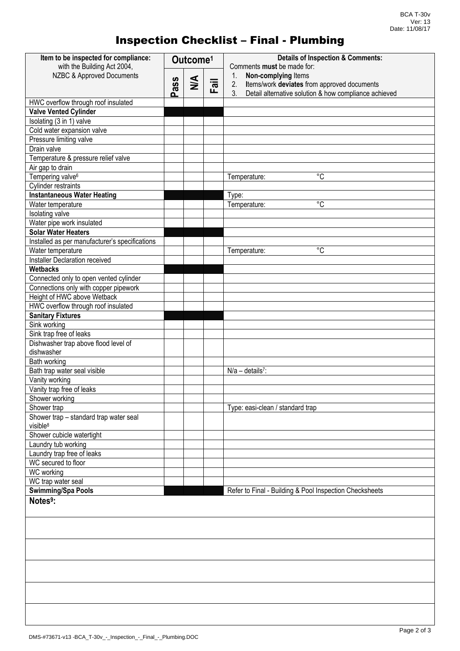## Inspection Checklist – Final - Plumbing

| Item to be inspected for compliance:<br>with the Building Act 2004, | Outcome <sup>1</sup> |        |      | <b>Details of Inspection &amp; Comments:</b><br>Comments must be made for:                                                                    |
|---------------------------------------------------------------------|----------------------|--------|------|-----------------------------------------------------------------------------------------------------------------------------------------------|
| NZBC & Approved Documents                                           | ass<br>൨             | $\leq$ | Fail | Non-complying Items<br>1.<br>Items/work deviates from approved documents<br>2.<br>3.<br>Detail alternative solution & how compliance achieved |
| HWC overflow through roof insulated                                 |                      |        |      |                                                                                                                                               |
| <b>Valve Vented Cylinder</b>                                        |                      |        |      |                                                                                                                                               |
| Isolating (3 in 1) valve                                            |                      |        |      |                                                                                                                                               |
| Cold water expansion valve                                          |                      |        |      |                                                                                                                                               |
| Pressure limiting valve                                             |                      |        |      |                                                                                                                                               |
| Drain valve                                                         |                      |        |      |                                                                                                                                               |
| Temperature & pressure relief valve                                 |                      |        |      |                                                                                                                                               |
| Air gap to drain                                                    |                      |        |      |                                                                                                                                               |
| Tempering valve <sup>6</sup>                                        |                      |        |      | $^{\circ}C$<br>Temperature:                                                                                                                   |
| Cylinder restraints                                                 |                      |        |      |                                                                                                                                               |
| <b>Instantaneous Water Heating</b>                                  |                      |        |      | Type:                                                                                                                                         |
| Water temperature                                                   |                      |        |      | $^{\circ}C$<br>Temperature:                                                                                                                   |
| Isolating valve                                                     |                      |        |      |                                                                                                                                               |
| Water pipe work insulated                                           |                      |        |      |                                                                                                                                               |
| <b>Solar Water Heaters</b>                                          |                      |        |      |                                                                                                                                               |
| Installed as per manufacturer's specifications                      |                      |        |      |                                                                                                                                               |
| Water temperature                                                   |                      |        |      | $\overline{c}$<br>Temperature:                                                                                                                |
| Installer Declaration received                                      |                      |        |      |                                                                                                                                               |
| <b>Wetbacks</b>                                                     |                      |        |      |                                                                                                                                               |
| Connected only to open vented cylinder                              |                      |        |      |                                                                                                                                               |
| Connections only with copper pipework                               |                      |        |      |                                                                                                                                               |
| Height of HWC above Wetback                                         |                      |        |      |                                                                                                                                               |
| HWC overflow through roof insulated                                 |                      |        |      |                                                                                                                                               |
| <b>Sanitary Fixtures</b>                                            |                      |        |      |                                                                                                                                               |
| Sink working                                                        |                      |        |      |                                                                                                                                               |
| Sink trap free of leaks                                             |                      |        |      |                                                                                                                                               |
| Dishwasher trap above flood level of<br>dishwasher                  |                      |        |      |                                                                                                                                               |
| Bath working                                                        |                      |        |      |                                                                                                                                               |
| Bath trap water seal visible                                        |                      |        |      | $N/a - details7$ :                                                                                                                            |
| Vanity working                                                      |                      |        |      |                                                                                                                                               |
| Vanity trap free of leaks                                           |                      |        |      |                                                                                                                                               |
| Shower working                                                      |                      |        |      |                                                                                                                                               |
| Shower trap                                                         |                      |        |      | Type: easi-clean / standard trap                                                                                                              |
| Shower trap - standard trap water seal<br>visible <sup>8</sup>      |                      |        |      |                                                                                                                                               |
| Shower cubicle watertight                                           |                      |        |      |                                                                                                                                               |
| Laundry tub working                                                 |                      |        |      |                                                                                                                                               |
| Laundry trap free of leaks                                          |                      |        |      |                                                                                                                                               |
| WC secured to floor                                                 |                      |        |      |                                                                                                                                               |
| <b>WC</b> working                                                   |                      |        |      |                                                                                                                                               |
| WC trap water seal                                                  |                      |        |      |                                                                                                                                               |
| <b>Swimming/Spa Pools</b>                                           |                      |        |      | Refer to Final - Building & Pool Inspection Checksheets                                                                                       |
| Notes <sup>9</sup> :                                                |                      |        |      |                                                                                                                                               |
|                                                                     |                      |        |      |                                                                                                                                               |
|                                                                     |                      |        |      |                                                                                                                                               |
|                                                                     |                      |        |      |                                                                                                                                               |
|                                                                     |                      |        |      |                                                                                                                                               |
|                                                                     |                      |        |      |                                                                                                                                               |
|                                                                     |                      |        |      |                                                                                                                                               |